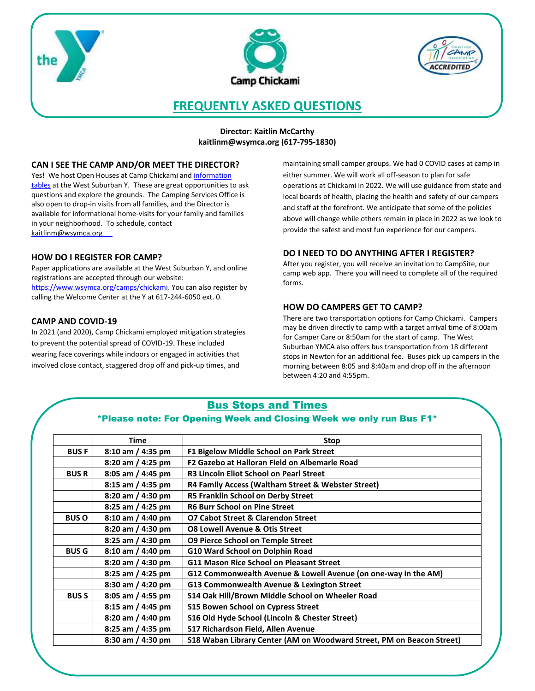





# **FREQUENTLY ASKED QUESTIONS**

**Director: Kaitlin McCarthy [kaitlinm@wsymca.org](mailto:Benjamink@wsymca.org) (617-795-1830)** 

# **CAN I SEE THE CAMP AND/OR MEET THE DIRECTOR?**

Yes! We host Open Houses at Camp Chickami and [information](https://www.wsymca.org/schedules-events/event-calendar)  [tables](https://www.wsymca.org/schedules-events/event-calendar) at the West Suburban Y. These are great opportunities to ask questions and explore the grounds. The Camping Services Office is also open to drop-in visits from all families, and the Director is available for informational home-visits for your family and families in your neighborhood. To schedule, contact [kaitlinm@wsymca.org](mailto:benjamink@wsymca.org)

# **HOW DO I REGISTER FOR CAMP?**

Paper applications are available at the West Suburban Y, and online registrations are accepted through our website: [https://www.wsymca.org/camps/chickami.](https://www.wsymca.org/camps/chickami) You can also register by calling the Welcome Center at the Y at 617-244-6050 ext. 0.

# **CAMP AND COVID-19**

In 2021 (and 2020), Camp Chickami employed mitigation strategies to prevent the potential spread of COVID-19. These included wearing face coverings while indoors or engaged in activities that involved close contact, staggered drop off and pick-up times, and

maintaining small camper groups. We had 0 COVID cases at camp in either summer. We will work all off-season to plan for safe operations at Chickami in 2022. We will use guidance from state and local boards of health, placing the health and safety of our campers and staff at the forefront. We anticipate that some of the policies above will change while others remain in place in 2022 as we look to provide the safest and most fun experience for our campers.

# **DO I NEED TO DO ANYTHING AFTER I REGISTER?**

After you register, you will receive an invitation to CampSite, our camp web app. There you will need to complete all of the required forms.

# **HOW DO CAMPERS GET TO CAMP?**

There are two transportation options for Camp Chickami. Campers may be driven directly to camp with a target arrival time of 8:00am for Camper Care or 8:50am for the start of camp. The West Suburban YMCA also offers bus transportation from 18 different stops in Newton for an additional fee. Buses pick up campers in the morning between 8:05 and 8:40am and drop off in the afternoon between 4:20 and 4:55pm.

# Bus Stops and Times

# \*Please note: For Opening Week and Closing Week we only run Bus F1\*

|              | <b>Time</b>         | Stop                                                                  |
|--------------|---------------------|-----------------------------------------------------------------------|
| <b>BUSF</b>  | $8:10$ am / 4:35 pm | F1 Bigelow Middle School on Park Street                               |
|              | 8:20 am / 4:25 pm   | F2 Gazebo at Halloran Field on Albemarle Road                         |
| <b>BUSR</b>  | 8:05 am / 4:45 pm   | <b>R3 Lincoln Eliot School on Pearl Street</b>                        |
|              | 8:15 am / 4:35 pm   | R4 Family Access (Waltham Street & Webster Street)                    |
|              | 8:20 am / 4:30 pm   | R5 Franklin School on Derby Street                                    |
|              | 8:25 am / 4:25 pm   | <b>R6 Burr School on Pine Street</b>                                  |
| <b>BUS O</b> | 8:10 am / 4:40 pm   | <b>O7 Cabot Street &amp; Clarendon Street</b>                         |
|              | 8:20 am / 4:30 pm   | <b>08 Lowell Avenue &amp; Otis Street</b>                             |
|              | 8:25 am / 4:30 pm   | <b>O9 Pierce School on Temple Street</b>                              |
| <b>BUS G</b> | 8:10 am / 4:40 pm   | G10 Ward School on Dolphin Road                                       |
|              | 8:20 am / 4:30 pm   | <b>G11 Mason Rice School on Pleasant Street</b>                       |
|              | 8:25 am / 4:25 pm   | G12 Commonwealth Avenue & Lowell Avenue (on one-way in the AM)        |
|              | 8:30 am / 4:20 pm   | G13 Commonwealth Avenue & Lexington Street                            |
| <b>BUS S</b> | 8:05 am / 4:55 pm   | S14 Oak Hill/Brown Middle School on Wheeler Road                      |
|              | 8:15 am / 4:45 pm   | <b>S15 Bowen School on Cypress Street</b>                             |
|              | 8:20 am / 4:40 pm   | S16 Old Hyde School (Lincoln & Chester Street)                        |
|              | 8:25 am / 4:35 pm   | S17 Richardson Field, Allen Avenue                                    |
|              | 8:30 am / 4:30 pm   | S18 Waban Library Center (AM on Woodward Street, PM on Beacon Street) |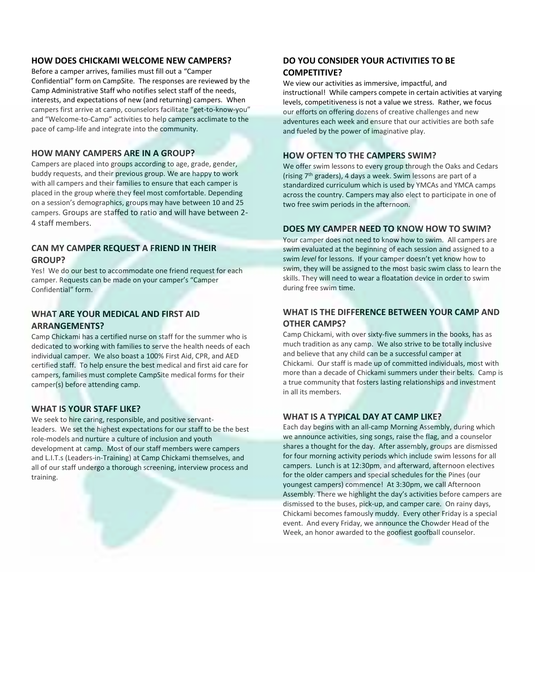#### **HOW DOES CHICKAMI WELCOME NEW CAMPERS?**

Before a camper arrives, families must fill out a "Camper Confidential" form on CampSite. The responses are reviewed by the Camp Administrative Staff who notifies select staff of the needs, interests, and expectations of new (and returning) campers. When campers first arrive at camp, counselors facilitate "get-to-know-you" and "Welcome-to-Camp" activities to help campers acclimate to the pace of camp-life and integrate into the community.

#### **HOW MANY CAMPERS ARE IN A GROUP?**

Campers are placed into groups according to age, grade, gender, buddy requests, and their previous group. We are happy to work with all campers and their families to ensure that each camper is placed in the group where they feel most comfortable. Depending on a session's demographics, groups may have between 10 and 25 campers. Groups are staffed to ratio and will have between 2- 4 staff members.

# **CAN MY CAMPER REQUEST A FRIEND IN THEIR GROUP?**

Yes! We do our best to accommodate one friend request for each camper. Requests can be made on your camper's "Camper Confidential" form.

# **WHAT ARE YOUR MEDICAL AND FIRST AID ARRANGEMENTS?**

Camp Chickami has a certified nurse on staff for the summer who is dedicated to working with families to serve the health needs of each individual camper. We also boast a 100% First Aid, CPR, and AED certified staff. To help ensure the best medical and first aid care for campers, families must complete CampSite medical forms for their camper(s) before attending camp.

#### **WHAT IS YOUR STAFF LIKE?**

We seek to hire caring, responsible, and positive servantleaders. We set the highest expectations for our staff to be the best role-models and nurture a culture of inclusion and youth development at camp. Most of our staff members were campers and L.I.T.s (Leaders-in-Training) at Camp Chickami themselves, and all of our staff undergo a thorough screening, interview process and training.

# **DO YOU CONSIDER YOUR ACTIVITIES TO BE COMPETITIVE?**

We view our activities as immersive, impactful, and instructional! While campers compete in certain activities at varying levels, competitiveness is not a value we stress. Rather, we focus our efforts on offering dozens of creative challenges and new adventures each week and ensure that our activities are both safe and fueled by the power of imaginative play.

### **HOW OFTEN TO THE CAMPERS SWIM?**

We offer swim lessons to every group through the Oaks and Cedars (rising 7th graders), 4 days a week. Swim lessons are part of a standardized curriculum which is used by YMCAs and YMCA camps across the country. Campers may also elect to participate in one of two free swim periods in the afternoon.

#### **DOES MY CAMPER NEED TO KNOW HOW TO SWIM?**

Your camper does not need to know how to swim. All campers are swim evaluated at the beginning of each session and assigned to a swim *level* for lessons. If your camper doesn't yet know how to swim, they will be assigned to the most basic swim class to learn the skills. They will need to wear a floatation device in order to swim during free swim time.

# **WHAT IS THE DIFFERENCE BETWEEN YOUR CAMP AND OTHER CAMPS?**

Camp Chickami, with over sixty-five summers in the books, has as much tradition as any camp. We also strive to be totally inclusive and believe that any child can be a successful camper at Chickami. Our staff is made up of committed individuals, most with more than a decade of Chickami summers under their belts. Camp is a true community that fosters lasting relationships and investment in all its members.

# **WHAT IS A TYPICAL DAY AT CAMP LIKE?**

Each day begins with an all-camp Morning Assembly, during which we announce activities, sing songs, raise the flag, and a counselor shares a thought for the day. After assembly, groups are dismissed for four morning activity periods which include swim lessons for all campers. Lunch is at 12:30pm, and afterward, afternoon electives for the older campers and special schedules for the Pines (our youngest campers) commence! At 3:30pm, we call Afternoon Assembly. There we highlight the day's activities before campers are dismissed to the buses, pick-up, and camper care. On rainy days, Chickami becomes famously muddy. Every other Friday is a special event. And every Friday, we announce the Chowder Head of the Week, an honor awarded to the goofiest goofball counselor.